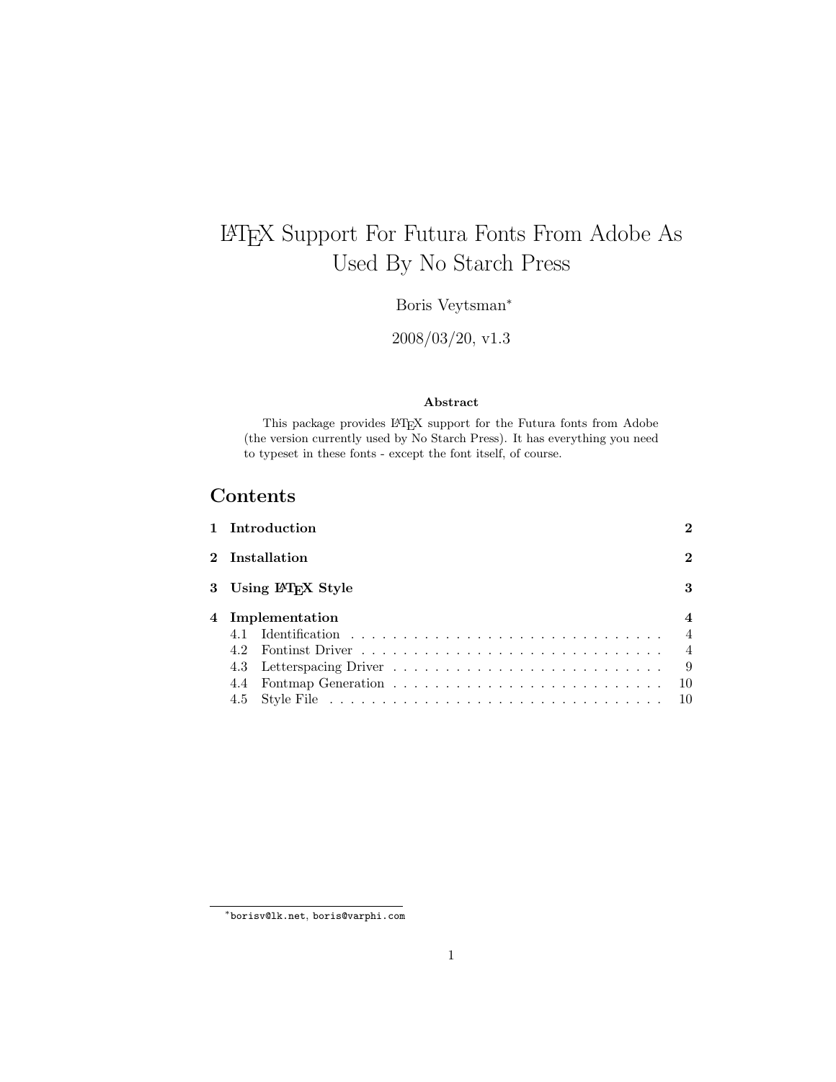# LATEX Support For Futura Fonts From Adobe As Used By No Starch Press

Boris Veytsman<sup>∗</sup>

2008/03/20, v1.3

#### Abstract

This package provides L<sup>AT</sup>EX support for the Futura fonts from Adobe (the version currently used by No Starch Press). It has everything you need to typeset in these fonts - except the font itself, of course.

## Contents

| 1 Introduction                   | $\mathbf{2}$                          |
|----------------------------------|---------------------------------------|
| 2 Installation                   | $\mathbf 2$                           |
| 3 Using LAT <sub>F</sub> X Style | 3                                     |
| 4 Implementation                 | 4<br>$\overline{4}$<br>$\overline{4}$ |
|                                  | 9                                     |
|                                  | 10                                    |
|                                  |                                       |

<sup>∗</sup>[borisv@lk.net](mailto:borisv@lk.net), [boris@varphi.com](mailto:boris@varphi.com)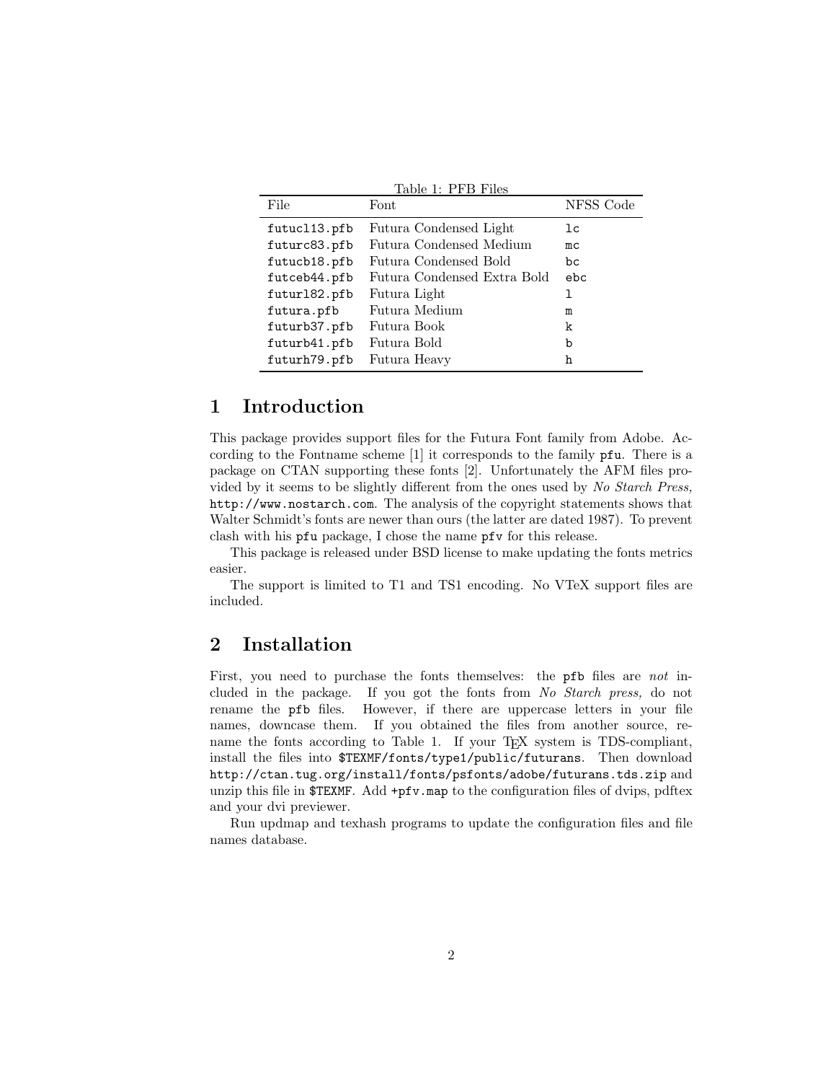| File         | Font                        | NFSS Code |
|--------------|-----------------------------|-----------|
| futucl13.pfb | Futura Condensed Light      | lc        |
| futurc83.pfb | Futura Condensed Medium     | mc        |
| futucb18.pfb | Futura Condensed Bold       | Ъc        |
| futceb44.pfb | Futura Condensed Extra Bold | ebc       |
| futur182.pfb | Futura Light                | ı         |
| futura.pfb   | Futura Medium               | m         |
| futurb37.pfb | Futura Book                 | k         |
| futurb41.pfb | Futura Bold                 | b         |
| futurh79.pfb | Futura Heavy                | h         |

<span id="page-1-2"></span>Table 1: PFB Files

### <span id="page-1-0"></span>1 Introduction

This package provides support files for the Futura Font family from Adobe. According to the Fontname scheme [\[1\]](#page-11-0) it corresponds to the family pfu. There is a package on CTAN supporting these fonts [\[2\]](#page-11-1). Unfortunately the AFM files provided by it seems to be slightly different from the ones used by No Starch Press, <http://www.nostarch.com>. The analysis of the copyright statements shows that Walter Schmidt's fonts are newer than ours (the latter are dated 1987). To prevent clash with his pfu package, I chose the name pfv for this release.

This package is released under BSD license to make updating the fonts metrics easier.

The support is limited to T1 and TS1 encoding. No VTeX support files are included.

## <span id="page-1-1"></span>2 Installation

First, you need to purchase the fonts themselves: the **pfb** files are not included in the package. If you got the fonts from No Starch press, do not rename the pfb files. However, if there are uppercase letters in your file names, downcase them. If you obtained the files from another source, re-name the fonts according to Table [1.](#page-1-2) If your T<sub>EX</sub> system is TDS-compliant, install the files into \$TEXMF/fonts/type1/public/futurans. Then download <http://ctan.tug.org/install/fonts/psfonts/adobe/futurans.tds.zip> and unzip this file in \$TEXMF. Add +pfv.map to the configuration files of dvips, pdftex and your dvi previewer.

Run updmap and texhash programs to update the configuration files and file names database.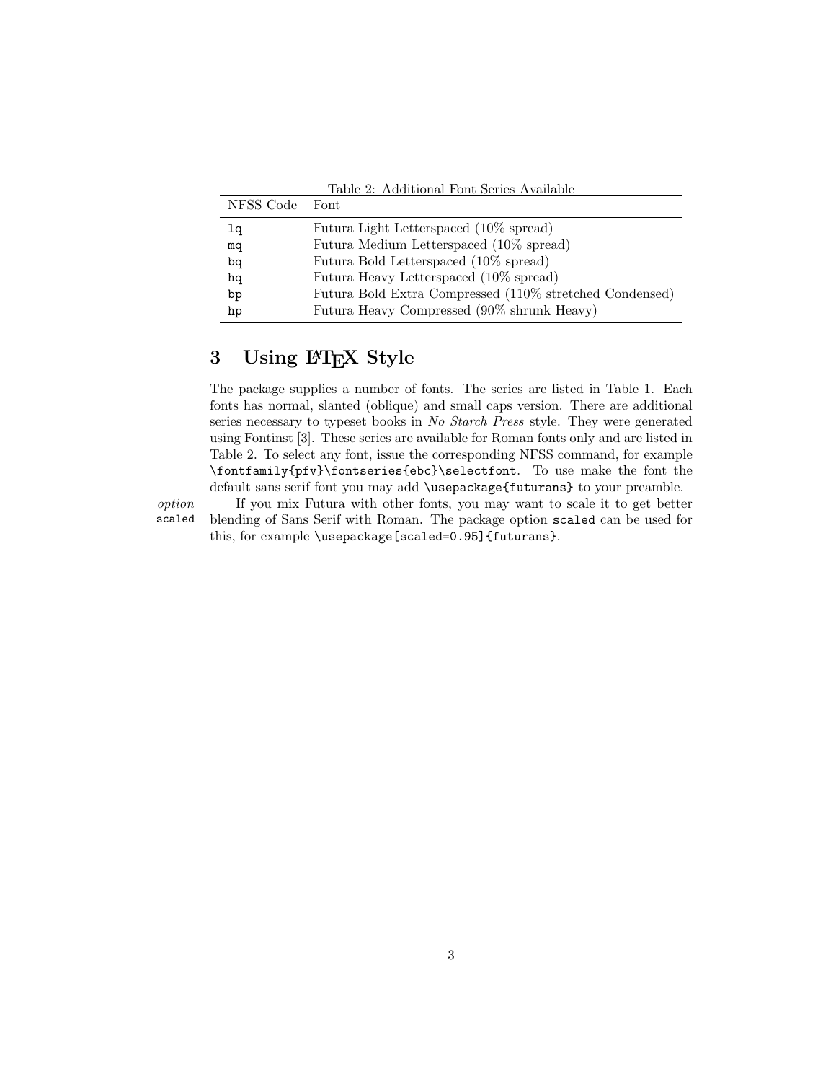<span id="page-2-1"></span>

| NFSS Code Font | Table 2: Additional Font Series Available               |
|----------------|---------------------------------------------------------|
| lq             | Futura Light Letterspaced (10% spread)                  |
| mq             | Futura Medium Letterspaced (10% spread)                 |
| bq             | Futura Bold Letterspaced (10% spread)                   |
| hq             | Futura Heavy Letterspaced (10\% spread)                 |
| bp             | Futura Bold Extra Compressed (110% stretched Condensed) |
| hp             | Futura Heavy Compressed (90% shrunk Heavy)              |

# <span id="page-2-0"></span>3 Using LATEX Style

The package supplies a number of fonts. The series are listed in Table [1.](#page-1-2) Each fonts has normal, slanted (oblique) and small caps version. There are additional series necessary to typeset books in No Starch Press style. They were generated using Fontinst [\[3\]](#page-11-2). These series are available for Roman fonts only and are listed in Table [2.](#page-2-1) To select any font, issue the corresponding NFSS command, for example \fontfamily{pfv}\fontseries{ebc}\selectfont. To use make the font the default sans serif font you may add \usepackage{futurans} to your preamble.

option If you mix Futura with other fonts, you may want to scale it to get better scaled blending of Sans Serif with Roman. The package option scaled can be used for this, for example \usepackage[scaled=0.95]{futurans}.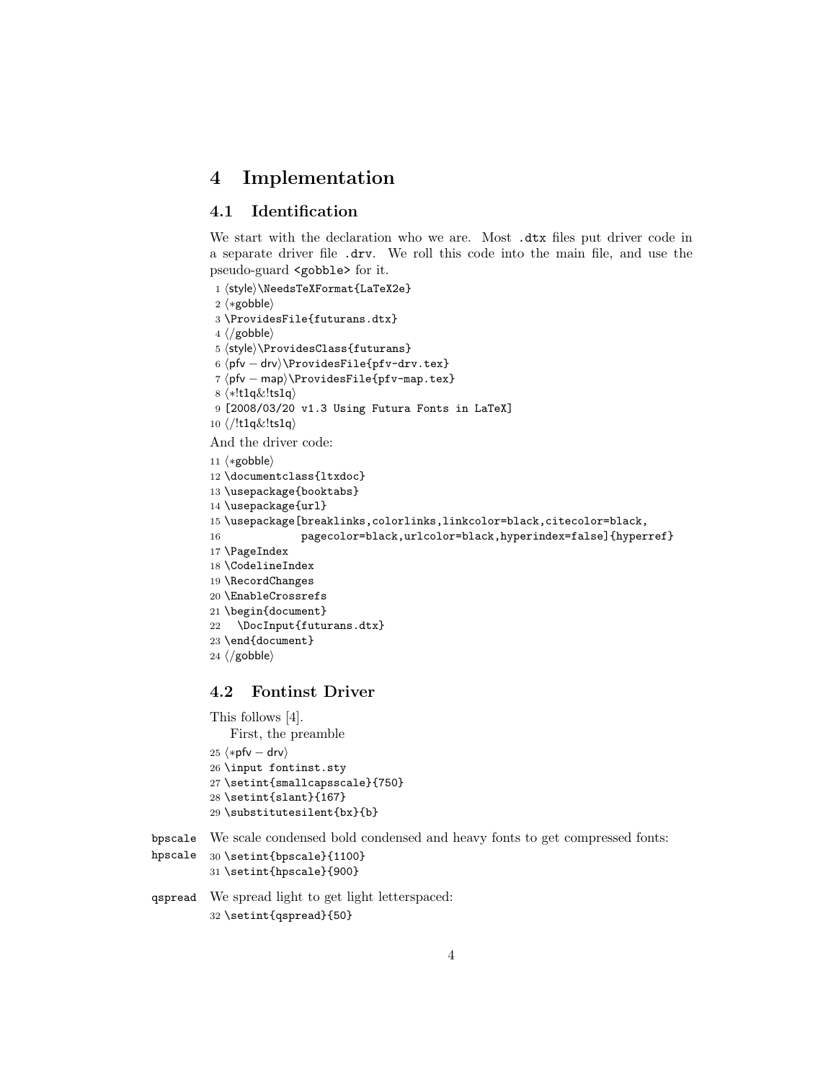## <span id="page-3-0"></span>4 Implementation

#### <span id="page-3-1"></span>4.1 Identification

We start with the declaration who we are. Most .dtx files put driver code in a separate driver file .drv. We roll this code into the main file, and use the pseudo-guard <gobble> for it.

```
1 (style)\NeedsTeXFormat{LaTeX2e}
 2 \langle \ast \text{gobble} \rangle3 \ProvidesFile{futurans.dtx}
 4 \langle /gobble \rangle5 (style)\ProvidesClass{futurans}
 6 \langlepfv – drv\rangleProvidesFile{pfv-drv.tex}
 7 (pfv – map)\ProvidesFile{pfv-map.tex}
 8 (*!t1q&!ts1q)
 9 [2008/03/20 v1.3 Using Futura Fonts in LaTeX]
10 \langle/!t1q&!ts1q}
```
And the driver code:

```
11 \langle \ast \text{gobble} \rangle12 \documentclass{ltxdoc}
13 \usepackage{booktabs}
14 \usepackage{url}
15 \usepackage[breaklinks,colorlinks,linkcolor=black,citecolor=black,
16 pagecolor=black,urlcolor=black,hyperindex=false]{hyperref}
17 \PageIndex
18 \CodelineIndex
19 \RecordChanges
20 \EnableCrossrefs
21 \begin{document}
22 \DocInput{futurans.dtx}
23 \end{document}
24 \langle /gobble\rangle
```
#### <span id="page-3-2"></span>4.2 Fontinst Driver

```
This follows [4].
   First, the preamble
25 \langle *pfv - drv \rangle26 \input fontinst.sty
27 \setint{smallcapsscale}{750}
28 \setint{slant}{167}
29 \substitutesilent{bx}{b}
```
bpscale We scale condensed bold condensed and heavy fonts to get compressed fonts:

```
hpscale
         30 \setint{bpscale}{1100}
         31 \setint{hpscale}{900}
```

```
qspread We spread light to get light letterspaced:
         32 \setint{qspread}{50}
```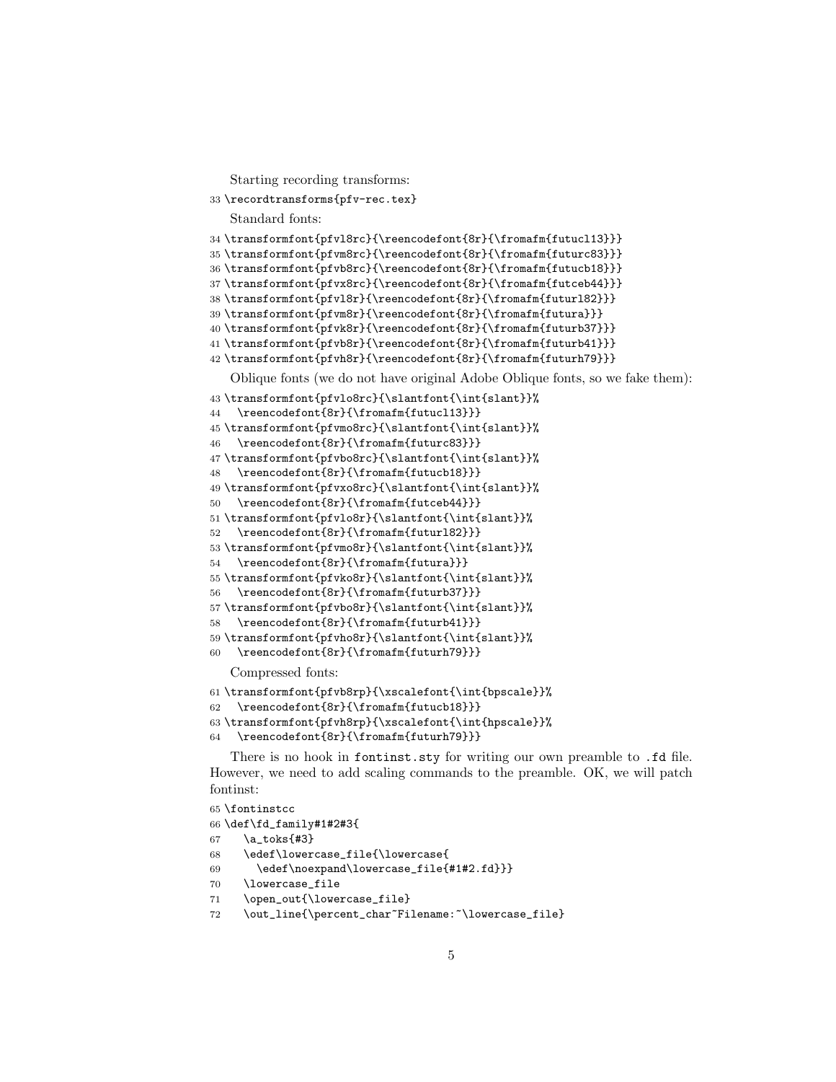#### Starting recording transforms:

```
33 \recordtransforms{pfv-rec.tex}
```
Standard fonts:

```
34 \transformfont{pfvl8rc}{\reencodefont{8r}{\fromafm{futucl13}}}
```

```
35 \transformfont{pfvm8rc}{\reencodefont{8r}{\fromafm{futurc83}}}
```
\transformfont{pfvb8rc}{\reencodefont{8r}{\fromafm{futucb18}}}

```
37 \transformfont{pfvx8rc}{\reencodefont{8r}{\fromafm{futceb44}}}
```

```
38 \transformfont{pfvl8r}{\reencodefont{8r}{\fromafm{futurl82}}}
```

```
39 \transformfont{pfvm8r}{\reencodefont{8r}{\fromafm{futura}}}
```

```
40 \transformfont{pfvk8r}{\reencodefont{8r}{\fromafm{futurb37}}}
```

```
41 \transformfont{pfvb8r}{\reencodefont{8r}{\fromafm{futurb41}}}
```

```
42 \transformfont{pfvh8r}{\reencodefont{8r}{\fromafm{futurh79}}}
```
Oblique fonts (we do not have original Adobe Oblique fonts, so we fake them):

```
43 \transformfont{pfvlo8rc}{\slantfont{\int{slant}}%
```

```
44 \reencodefont{8r}{\fromafm{futucl13}}}
```

```
45 \transformfont{pfvmo8rc}{\slantfont{\int{slant}}%
```

```
46 \reencodefont{8r}{\fromafm{futurc83}}}
```

```
47 \transformfont{pfvbo8rc}{\slantfont{\int{slant}}%
```

```
48 \reencodefont{8r}{\fromafm{futucb18}}}
```

```
49 \transformfont{pfvxo8rc}{\slantfont{\int{slant}}%
```

```
50 \reencodefont{8r}{\fromafm{futceb44}}}
```

```
51 \transformfont{pfvlo8r}{\slantfont{\int{slant}}%
```

```
52 \reencodefont{8r}{\fromafm{futurl82}}}
```

```
53 \transformfont{pfvmo8r}{\slantfont{\int{slant}}%
```

```
54 \reencodefont{8r}{\fromafm{futura}}}
```

```
55 \transformfont{pfvko8r}{\slantfont{\int{slant}}%
```

```
56 \reencodefont{8r}{\fromafm{futurb37}}}
```

```
57 \transformfont{pfvbo8r}{\slantfont{\int{slant}}%
```

```
58 \reencodefont{8r}{\fromafm{futurb41}}}
```

```
59 \transformfont{pfvho8r}{\slantfont{\int{slant}}%
```

```
60 \reencodefont{8r}{\fromafm{futurh79}}}
```
Compressed fonts:

```
61 \transformfont{pfvb8rp}{\xscalefont{\int{bpscale}}%
```

```
62 \reencodefont{8r}{\fromafm{futucb18}}}
```

```
63 \transformfont{pfvh8rp}{\xscalefont{\int{hpscale}}%
```

```
64 \reencodefont{8r}{\fromafm{futurh79}}}
```
There is no hook in fontinst.sty for writing our own preamble to .fd file. However, we need to add scaling commands to the preamble. OK, we will patch fontinst:

```
65 \fontinstcc
66 \def\fd_family#1#2#3{
67 \a_toks{#3}
68 \edef\lowercase_file{\lowercase{
69 \edef\noexpand\lowercase_file{#1#2.fd}}}
70 \lowercase_file
71 \open_out{\lowercase_file}
72 \out_line{\percent_char~Filename:~\lowercase_file}
```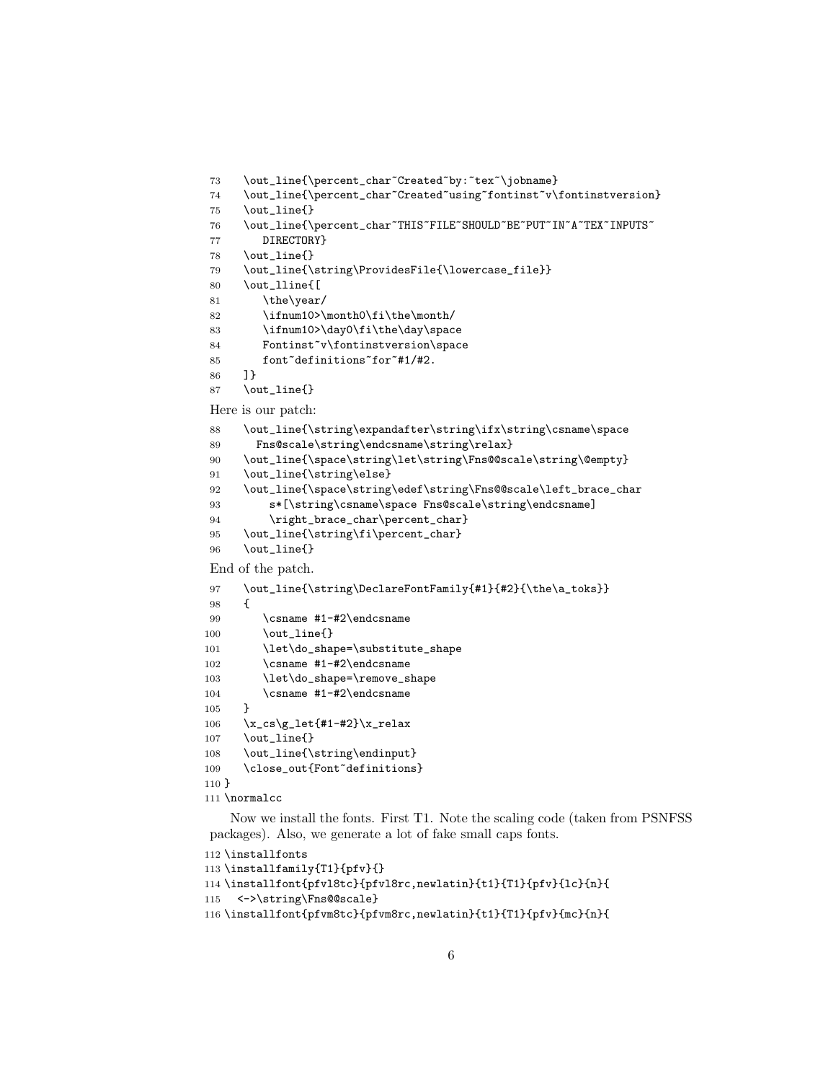```
74 \out_line{\percent_char~Created~using~fontinst~v\fontinstversion}
75 \out_line{}
76 \out_line{\percent_char~THIS~FILE~SHOULD~BE~PUT~IN~A~TEX~INPUTS~
77 DIRECTORY}
78 \out_line{}
79 \out_line{\string\ProvidesFile{\lowercase_file}}
80 \out_lline{[
81 \the\year/
82 \ifnum10>\month0\fi\the\month/
83 \ifnum10>\day0\fi\the\day\space
84 Fontinst<sup>~</sup>v\fontinstversion\space
85 font~definitions~for~#1/#2.
86 ]}
87 \out_line{}
Here is our patch:
88 \out_line{\string\expandafter\string\ifx\string\csname\space
89 Fns@scale\string\endcsname\string\relax}
90 \out_line{\space\string\let\string\Fns@@scale\string\@empty}
91 \out_line{\string\else}
92 \qquad \texttt{\space}\string\edef\string\Fns@scale\left\pt{\ref\prace\_char}93 s*[\string\csname\space Fns@scale\string\endcsname]
94 \right_brace_char\percent_char}
95 \out_line{\string\fi\percent_char}
96 \out_line{}
End of the patch.
97 \out_line{\string\DeclareFontFamily{#1}{#2}{\the\a_toks}}
98 {
99 \csname #1-#2\endcsname
100 \out_line{}
101 \let\do_shape=\substitute_shape
102 \csname #1-#2\endcsname
103 \let\do_shape=\remove_shape
104 \csname #1-#2\endcsname
105 }
106 \x_c s\gtrsim2et{#1-#2}\x_{relax}107 \out_line{}
108 \out_line{\string\endinput}
109 \close_out{Font~definitions}
110 }
111 \normalcc
```
73 \out\_line{\percent\_char~Created~by: "tex"\jobname}

Now we install the fonts. First T1. Note the scaling code (taken from PSNFSS packages). Also, we generate a lot of fake small caps fonts.

```
112 \installfonts
113 \installfamily{T1}{pfv}{}
114 \installfont{pfvl8tc}{pfvl8rc,newlatin}{t1}{T1}{pfv}{lc}{n}{
115 <->\string\Fns@@scale}
116 \installfont{pfvm8tc}{pfvm8rc,newlatin}{t1}{T1}{pfv}{mc}{n}{
```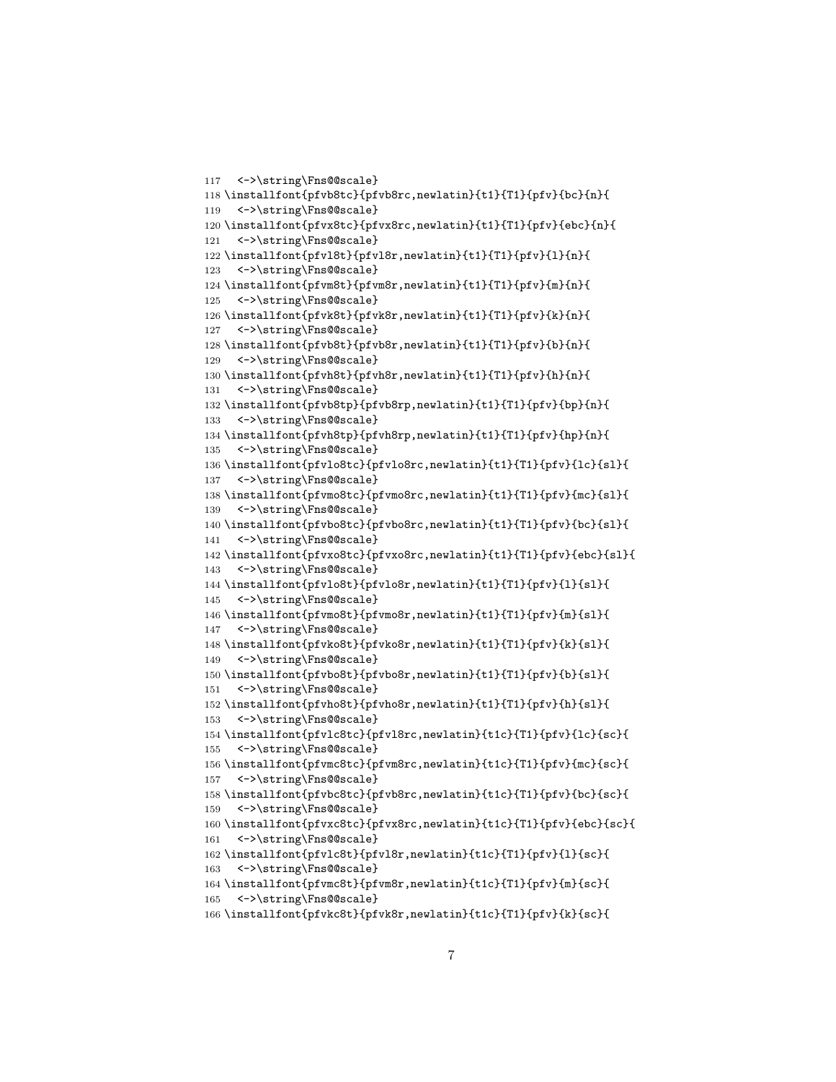```
117 <->\string\Fns@@scale}
118 \installfont{pfvb8tc}{pfvb8rc,newlatin}{t1}{T1}{pfv}{bc}{n}{
119 <->\string\Fns@@scale}
120 \installfont{pfvx8tc}{pfvx8rc,newlatin}{t1}{T1}{pfv}{ebc}{n}{
121 <->\string\Fns@@scale}
122 \installfont{pfvl8t}{pfvl8r,newlatin}{t1}{T1}{pfv}{l}{n}{
123 <->\string\Fns@@scale}
124 \installfont{pfvm8t}{pfvm8r,newlatin}{t1}{T1}{pfv}{m}{n}{
125 <->\string\Fns@@scale}
126 \installfont{pfvk8t}{pfvk8r,newlatin}{t1}{T1}{pfv}{k}{n}{
127 <->\string\Fns@@scale}
128 \installfont{pfvb8t}{pfvb8r,newlatin}{t1}{T1}{pfv}{b}{n}{
129 <->\string\Fns@@scale}
130 \installfont{pfvh8t}{pfvh8r,newlatin}{t1}{T1}{pfv}{h}{n}{
131 <->\string\Fns@@scale}
132 \installfont{pfvb8tp}{pfvb8rp,newlatin}{t1}{T1}{pfv}{bp}{n}{
133 <->\string\Fns@@scale}
134 \installfont{pfvh8tp}{pfvh8rp,newlatin}{t1}{T1}{pfv}{hp}{n}{
135 <->\string\Fns@@scale}
136 \installfont{pfvlo8tc}{pfvlo8rc,newlatin}{t1}{T1}{pfv}{lc}{sl}{
137 <->\string\Fns@@scale}
138 \installfont{pfvmo8tc}{pfvmo8rc,newlatin}{t1}{T1}{pfv}{mc}{sl}{
139 <->\string\Fns@@scale}
140 \installfont{pfvbo8tc}{pfvbo8rc,newlatin}{t1}{T1}{pfv}{bc}{sl}{
141 <->\string\Fns@@scale}
142 \installfont{pfvxo8tc}{pfvxo8rc,newlatin}{t1}{T1}{pfv}{ebc}{sl}{
143 <->\string\Fns@@scale}
144 \installfont{pfvlo8t}{pfvlo8r,newlatin}{t1}{T1}{pfv}{l}{sl}{
145 <->\string\Fns@@scale}
146 \installfont{pfvmo8t}{pfvmo8r,newlatin}{t1}{T1}{pfv}{m}{sl}{
147 <->\string\Fns@@scale}
148 \installfont{pfvko8t}{pfvko8r,newlatin}{t1}{T1}{pfv}{k}{sl}{
149 <->\string\Fns@@scale}
150 \installfont{pfvbo8t}{pfvbo8r,newlatin}{t1}{T1}{pfv}{b}{sl}{
151 <->\string\Fns@@scale}
152 \installfont{pfvho8t}{pfvho8r,newlatin}{t1}{T1}{pfv}{h}{sl}{
153 <->\string\Fns@@scale}
154 \installfont{pfvlc8tc}{pfvl8rc,newlatin}{t1c}{T1}{pfv}{lc}{sc}{
155 <->\string\Fns@@scale}
156 \installfont{pfvmc8tc}{pfvm8rc,newlatin}{t1c}{T1}{pfv}{mc}{sc}{
157 <->\string\Fns@@scale}
158 \installfont{pfvbc8tc}{pfvb8rc,newlatin}{t1c}{T1}{pfv}{bc}{sc}{
159 <->\string\Fns@@scale}
160 \installfont{pfvxc8tc}{pfvx8rc,newlatin}{t1c}{T1}{pfv}{ebc}{sc}{
161 <->\string\Fns@@scale}
162 \installfont{pfvlc8t}{pfvl8r,newlatin}{t1c}{T1}{pfv}{l}{sc}{
163 <->\string\Fns@@scale}
164 \installfont{pfvmc8t}{pfvm8r,newlatin}{t1c}{T1}{pfv}{m}{sc}{
165 <->\string\Fns@@scale}
166 \installfont{pfvkc8t}{pfvk8r,newlatin}{t1c}{T1}{pfv}{k}{sc}{
```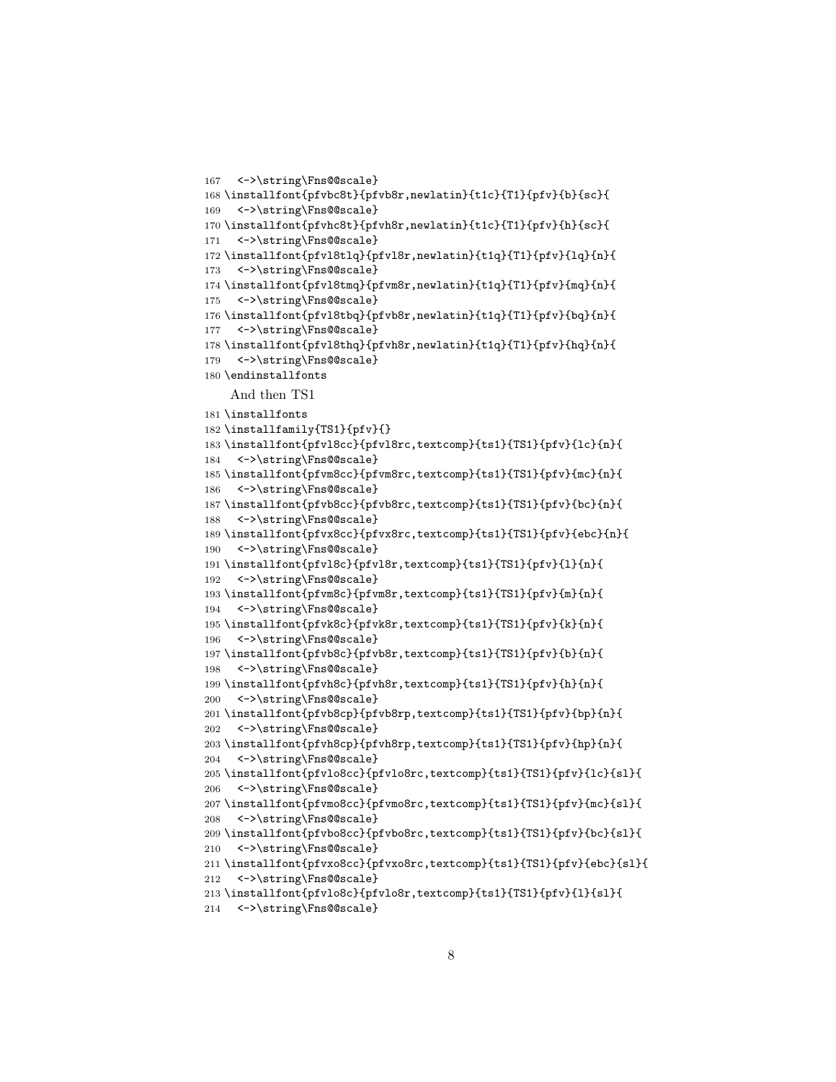```
167 <->\string\Fns@@scale}
168 \installfont{pfvbc8t}{pfvb8r,newlatin}{t1c}{T1}{pfv}{b}{sc}{
169 <->\string\Fns@@scale}
170 \installfont{pfvhc8t}{pfvh8r,newlatin}{t1c}{T1}{pfv}{h}{sc}{
171 <->\string\Fns@@scale}
172 \installfont{pfvl8tlq}{pfvl8r,newlatin}{t1q}{T1}{pfv}{lq}{n}{
173 <->\string\Fns@@scale}
174 \installfont{pfvl8tmq}{pfvm8r,newlatin}{t1q}{T1}{pfv}{mq}{n}{
175 <->\string\Fns@@scale}
176 \installfont{pfvl8tbq}{pfvb8r,newlatin}{t1q}{T1}{pfv}{bq}{n}{
177 <->\string\Fns@@scale}
178 \installfont{pfvl8thq}{pfvh8r,newlatin}{t1q}{T1}{pfv}{hq}{n}{
179 <->\string\Fns@@scale}
180 \endinstallfonts
    And then TS1
181 \installfonts
182 \installfamily{TS1}{pfv}{}
183 \installfont{pfvl8cc}{pfvl8rc,textcomp}{ts1}{TS1}{pfv}{lc}{n}{
184 <->\string\Fns@@scale}
185 \installfont{pfvm8cc}{pfvm8rc,textcomp}{ts1}{TS1}{pfv}{mc}{n}{
186 <->\string\Fns@@scale}
187 \installfont{pfvb8cc}{pfvb8rc,textcomp}{ts1}{TS1}{pfv}{bc}{n}{
188 <->\string\Fns@@scale}
189 \installfont{pfvx8cc}{pfvx8rc,textcomp}{ts1}{TS1}{pfv}{ebc}{n}{
190 <->\string\Fns@@scale}
191 \times 191 \times \frac{pfy}{18c}192 <->\string\Fns@@scale}
193 \installfont{pfvm8c}{pfvm8r,textcomp}{ts1}{TS1}{pfv}{m}{n}{
194 <->\string\Fns@@scale}
195 \installfont{pfvk8c}{pfvk8r,textcomp}{ts1}{TS1}{pfv}{k}{n}{
196 <->\string\Fns@@scale}
197 \installfont{pfvb8c}{pfvb8r,textcomp}{ts1}{TS1}{pfv}{b}{n}{
198 <->\string\Fns@@scale}
199 \installfont{pfvh8c}{pfvh8r,textcomp}{ts1}{TS1}{pfv}{h}{n}{
200 <->\string\Fns@@scale}
201 \installfont{pfvb8cp}{pfvb8rp,textcomp}{ts1}{TS1}{pfv}{bp}{n}{
202 <->\string\Fns@@scale}
203 \installfont{pfvh8cp}{pfvh8rp,textcomp}{ts1}{TS1}{pfv}{hp}{n}{
204 <->\string\Fns@@scale}
205 \installfont{pfvlo8cc}{pfvlo8rc,textcomp}{ts1}{TS1}{pfv}{lc}{sl}{
206 <->\string\Fns@@scale}
207 \installfont{pfvmo8cc}{pfvmo8rc,textcomp}{ts1}{TS1}{pfv}{mc}{sl}{
208 <->\string\Fns@@scale}
209 \installfont{pfvbo8cc}{pfvbo8rc,textcomp}{ts1}{TS1}{pfv}{bc}{sl}{
210 <->\string\Fns@@scale}
211 \installfont{pfvxo8cc}{pfvxo8rc,textcomp}{ts1}{TS1}{pfv}{ebc}{sl}{
212 <->\string\Fns@@scale}
213 \installfont{pfvlo8c}{pfvlo8r,textcomp}{ts1}{TS1}{pfv}{l}{sl}{
214 <->\string\Fns@@scale}
```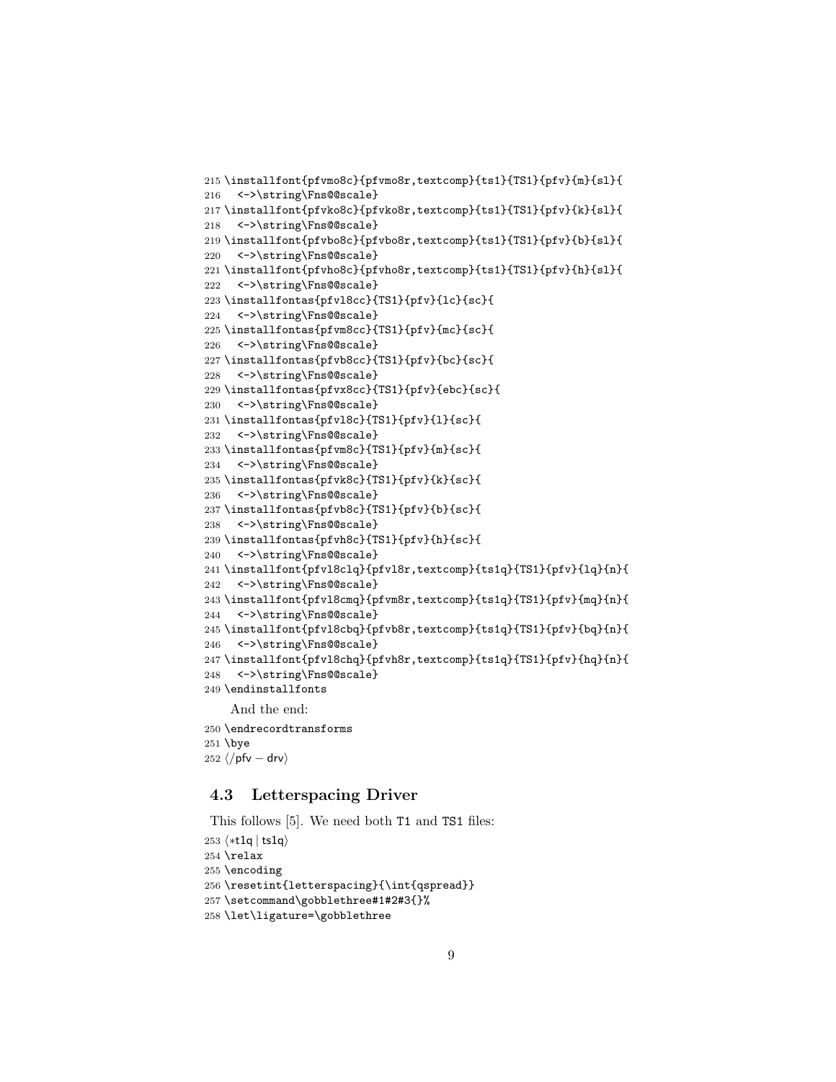```
215 \installfont{pfvmo8c}{pfvmo8r,textcomp}{ts1}{TS1}{pfv}{m}{sl}{
216 <->\string\Fns@@scale}
217 \installfont{pfvko8c}{pfvko8r,textcomp}{ts1}{TS1}{pfv}{k}{sl}{
218 <->\string\Fns@@scale}
219 \installfont{pfvbo8c}{pfvbo8r,textcomp}{ts1}{TS1}{pfv}{b}{sl}{
220 <->\string\Fns@@scale}
221 \installfont{pfvho8c}{pfvho8r,textcomp}{ts1}{TS1}{pfv}{h}{sl}{
222 <->\string\Fns@@scale}
223 \installfontas{pfvl8cc}{TS1}{pfv}{lc}{sc}{
224 <->\string\Fns@@scale}
225 \installfontas{pfvm8cc}{TS1}{pfv}{mc}{sc}{
226 <->\string\Fns@@scale}
227 \installfontas{pfvb8cc}{TS1}{pfv}{bc}{sc}{
228 <->\string\Fns@@scale}
229 \installfontas{pfvx8cc}{TS1}{pfv}{ebc}{sc}{
230 <->\string\Fns@@scale}
231 \installfontas{pfvl8c}{TS1}{pfv}{l}{sc}{
232 <->\string\Fns@@scale}
233 \installfontas{pfvm8c}{TS1}{pfv}{m}{sc}{
234 <->\string\Fns@@scale}
235 \installfontas{pfvk8c}{TS1}{pfv}{k}{sc}{
236 <->\string\Fns@@scale}
237 \installfontas{pfvb8c}{TS1}{pfv}{b}{sc}{
238 <->\string\Fns@@scale}
239 \installfontas{pfvh8c}{TS1}{pfv}{h}{sc}{
240 <->\string\Fns@@scale}
241 \installfont{pfvl8clq}{pfvl8r,textcomp}{ts1q}{TS1}{pfv}{lq}{n}{
242 <->\string\Fns@@scale}
243 \installfont{pfvl8cmq}{pfvm8r,textcomp}{ts1q}{TS1}{pfv}{mq}{n}{
244 <->\string\Fns@@scale}
245 \installfont{pfvl8cbq}{pfvb8r,textcomp}{ts1q}{TS1}{pfv}{bq}{n}{
246 <->\string\Fns@@scale}
247 \installfont{pfvl8chq}{pfvh8r,textcomp}{ts1q}{TS1}{pfv}{hq}{n}{
248 <->\string\Fns@@scale}
249 \endinstallfonts
    And the end:
250 \endrecordtransforms
```

```
251 \bye
252 \langle/pfv – drv\rangle
```
#### <span id="page-8-0"></span>4.3 Letterspacing Driver

This follows [\[5\]](#page-11-4). We need both T1 and TS1 files: 253 (\*t1q | ts1q) \relax \encoding

```
256 \resetint{letterspacing}{\int{qspread}}
```

```
257 \setcommand\gobblethree#1#2#3{}%
```

```
258 \let\ligature=\gobblethree
```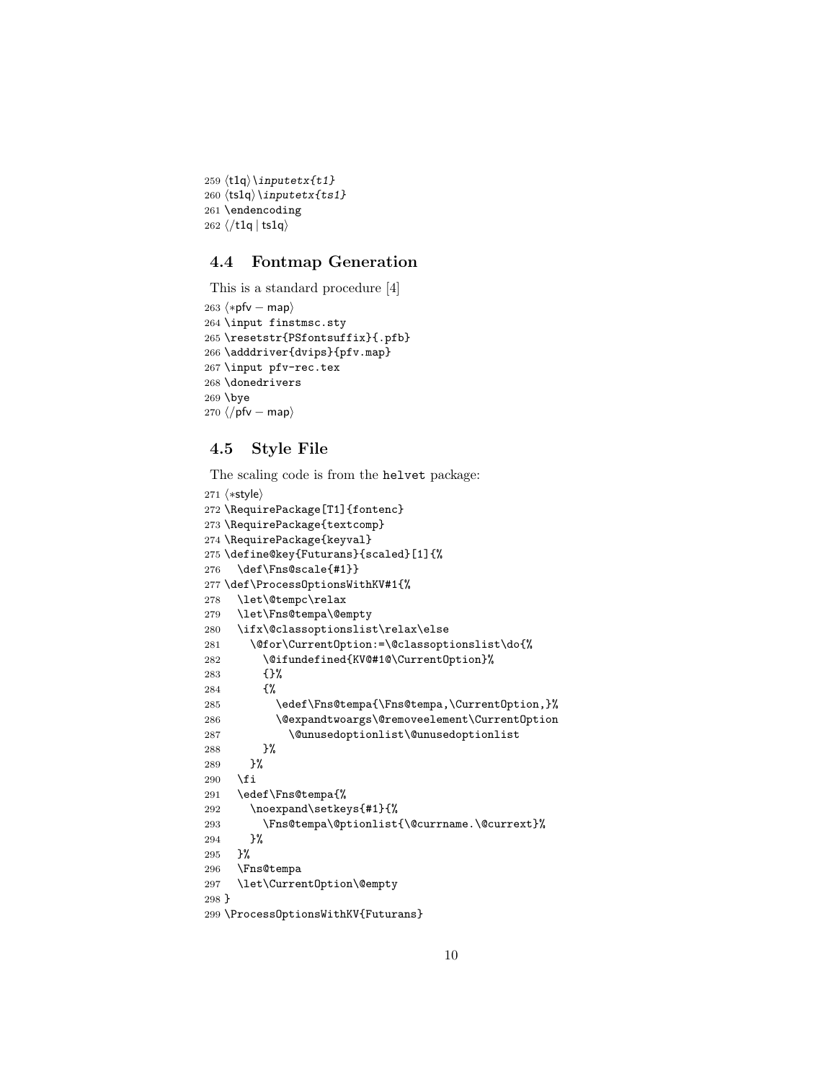```
259 \langlet1q\rangle\inputetx{t1}
260 \langle ts1q \rangle \in partext{ts1}261 \endencoding
262 \langle/t1q | tslq \rangle
```
#### <span id="page-9-0"></span>4.4 Fontmap Generation

This is a standard procedure [\[4\]](#page-11-3)

```
263 \langle *pfv - map \rangle264 \input finstmsc.sty
265 \resetstr{PSfontsuffix}{.pfb}
266 \adddriver{dvips}{pfv.map}
267 \input pfv-rec.tex
268 \donedrivers
269 \bye
270 \langle/pfv – map\rangle
```
#### <span id="page-9-1"></span>4.5 Style File

The scaling code is from the helvet package:

```
271 (*style)
272 \RequirePackage[T1]{fontenc}
273 \RequirePackage{textcomp}
274 \RequirePackage{keyval}
275 \define@key{Futurans}{scaled}[1]{%
276 \def\Fns@scale{#1}}
277 \def\ProcessOptionsWithKV#1{%
278 \let\@tempc\relax
279 \let\Fns@tempa\@empty
280 \ifx\@classoptionslist\relax\else
281 \@for\CurrentOption:=\@classoptionslist\do{%
282 \@ifundefined{KV@#1@\CurrentOption}%
283 {}%
284 {%
285 \edef\Fns@tempa{\Fns@tempa,\CurrentOption,}%
286 \@expandtwoargs\@removeelement\CurrentOption
287 \@unusedoptionlist\@unusedoptionlist
288 }%
289 }%
290 \fi
291 \edef\Fns@tempa{%
292 \noexpand\setkeys{#1}{%
293 \Fns@tempa\@ptionlist{\@currname.\@currext}%
294 }%
295 }%
296 \Fns@tempa
297 \let\CurrentOption\@empty
298 }
299 \ProcessOptionsWithKV{Futurans}
```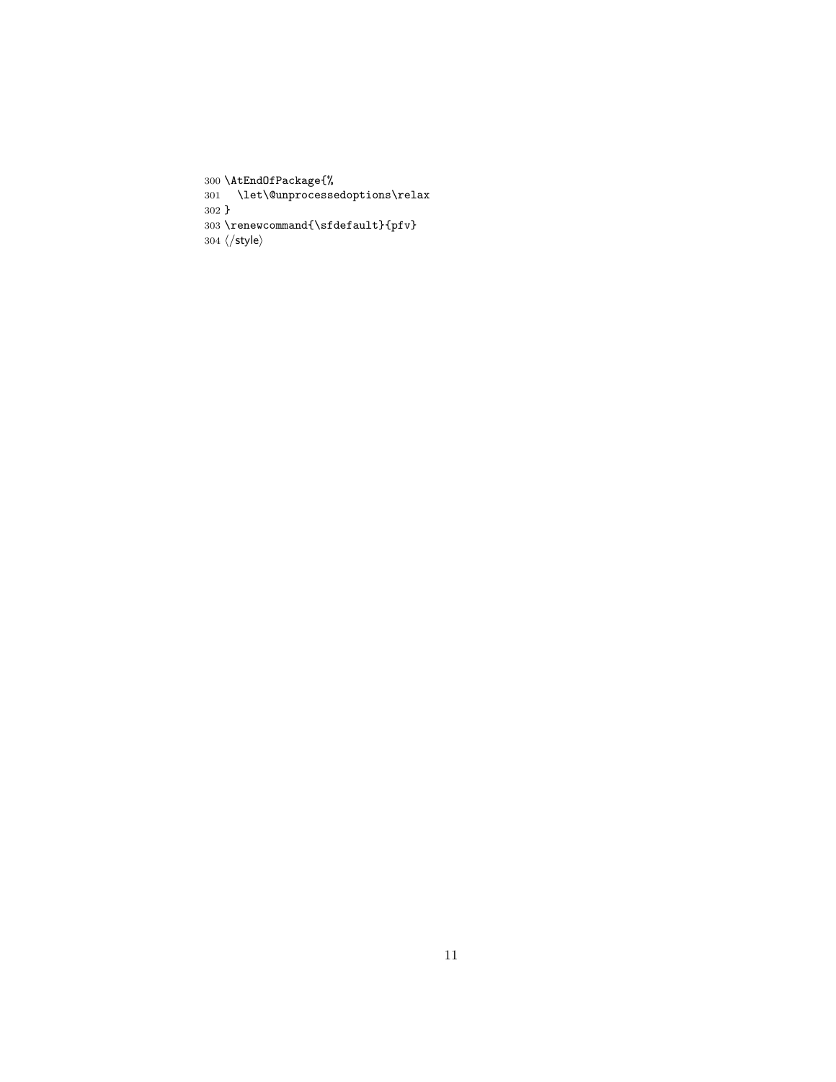\AtEndOfPackage{% \let\@unprocessedoptions\relax }  $303 \verb|\renewcommand{{\sf{ul}}|fv}$ 304  $\langle$ /style $\rangle$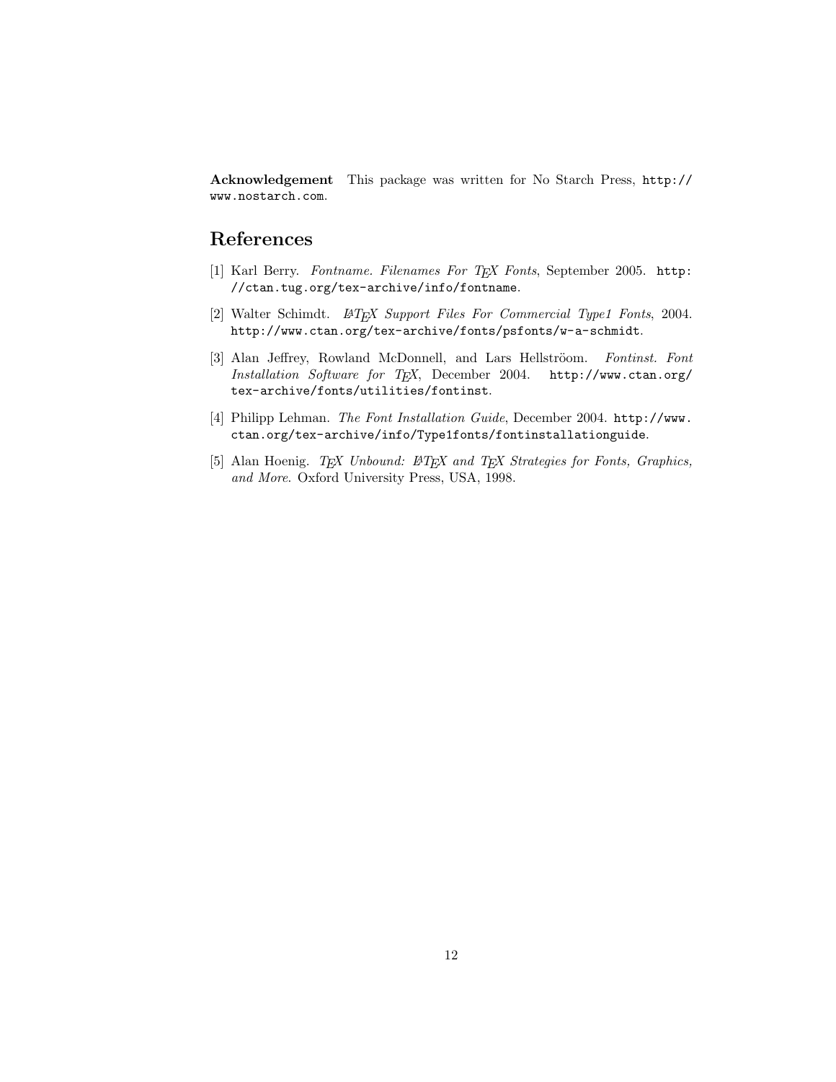Acknowledgement This package was written for No Starch Press, [http://](http://www.nostarch.com) [www.nostarch.com](http://www.nostarch.com).

# References

- <span id="page-11-0"></span>[1] Karl Berry. Fontname. Filenames For TEX Fonts, September 2005. [http:](http://ctan.tug.org/tex-archive/info/fontname) [//ctan.tug.org/tex-archive/info/fontname](http://ctan.tug.org/tex-archive/info/fontname).
- <span id="page-11-1"></span>[2] Walter Schimdt. LATEX Support Files For Commercial Type1 Fonts, 2004. <http://www.ctan.org/tex-archive/fonts/psfonts/w-a-schmidt>.
- <span id="page-11-2"></span>[3] Alan Jeffrey, Rowland McDonnell, and Lars Hellströom. Fontinst. Font Installation Software for TEX, December 2004. [http://www.ctan.org/](http://www.ctan.org/tex-archive/fonts/utilities/fontinst) [tex-archive/fonts/utilities/fontinst](http://www.ctan.org/tex-archive/fonts/utilities/fontinst).
- <span id="page-11-3"></span>[4] Philipp Lehman. The Font Installation Guide, December 2004. [http://www.](http://www.ctan.org/tex-archive/info/Type1fonts/fontinstallationguide) [ctan.org/tex-archive/info/Type1fonts/fontinstallationguide](http://www.ctan.org/tex-archive/info/Type1fonts/fontinstallationguide).
- <span id="page-11-4"></span>[5] Alan Hoenig. TEX Unbound: LATEX and TEX Strategies for Fonts, Graphics, and More. Oxford University Press, USA, 1998.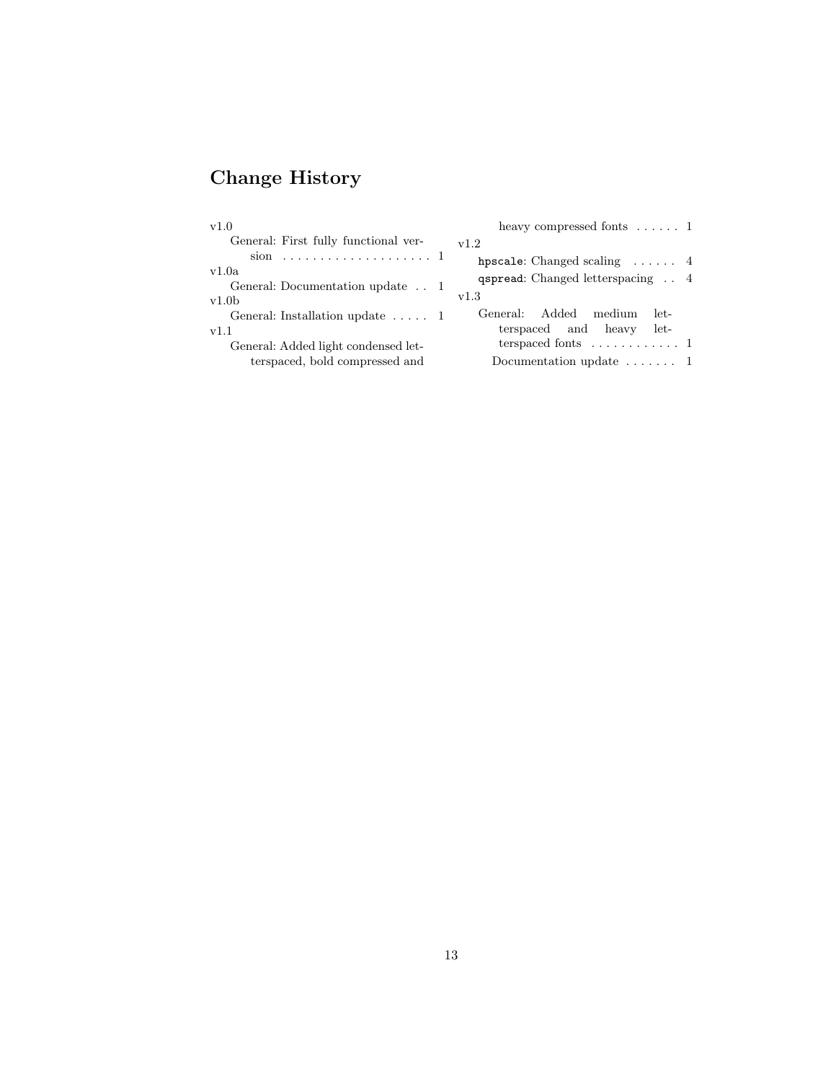# Change History

| v1.0                                                                                  | heavy compressed fonts $\dots \dots 1$                                                                            |  |
|---------------------------------------------------------------------------------------|-------------------------------------------------------------------------------------------------------------------|--|
| General: First fully functional ver-                                                  | v1.2                                                                                                              |  |
|                                                                                       | hpscale: Changed scaling $\dots$ 4                                                                                |  |
| v1.0a<br>General: Documentation update 1<br>v1.0 <sub>b</sub>                         | qspread: Changed letterspacing 4<br>v1.3                                                                          |  |
| General: Installation update $\dots$ 1<br>v1.1<br>General: Added light condensed let- | Added<br>General:<br>medium<br>let-<br>terspaced and heavy<br>let-<br>terspaced fonts $\dots \dots \dots \dots 1$ |  |
| terspaced, bold compressed and                                                        | Documentation update $\dots \dots 1$                                                                              |  |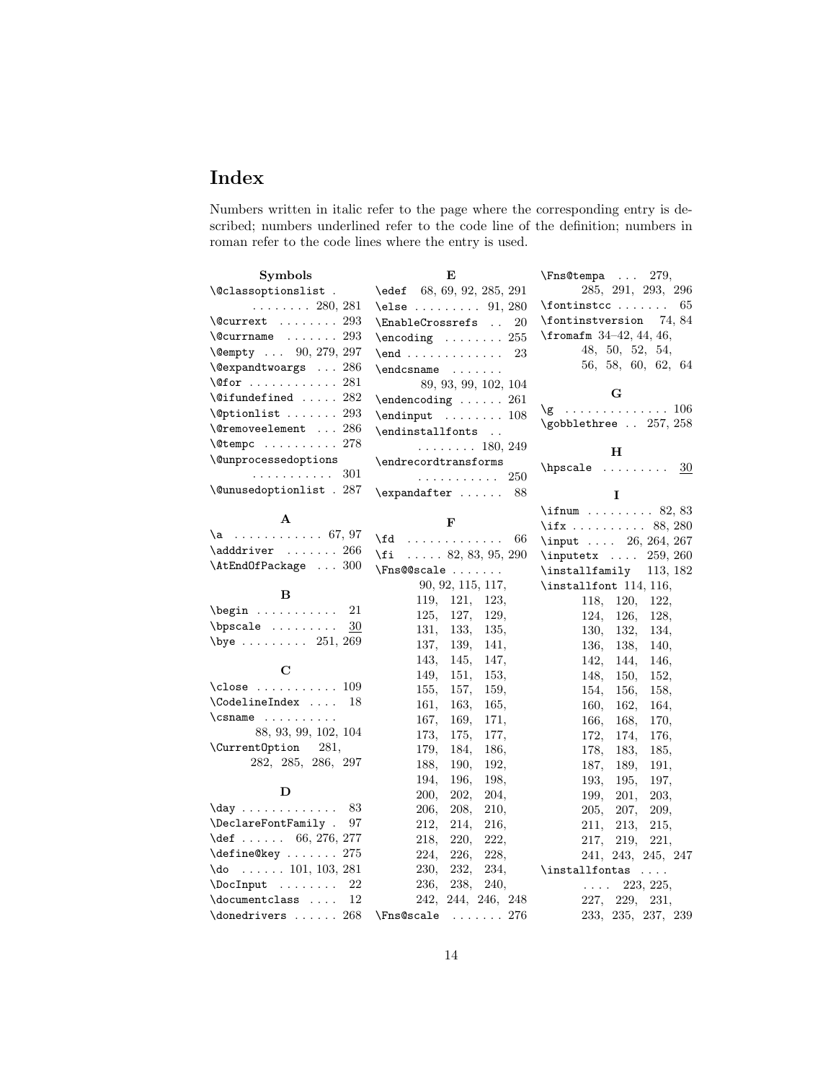# Index

Numbers written in italic refer to the page where the corresponding entry is described; numbers underlined refer to the code line of the definition; numbers in roman refer to the code lines where the entry is used.

| Symbols                                                                       | E                                                                                              | \Fns@tempa<br>279,              |
|-------------------------------------------------------------------------------|------------------------------------------------------------------------------------------------|---------------------------------|
| \@classoptionslist.                                                           | \edef 68, 69, 92, 285, 291                                                                     | 285, 291, 293, 296              |
| $\ldots \ldots 280, 281$                                                      | $\texttt{else} \dots \dots \dots \ 91,280$                                                     | $\forall$ fontinstcc<br>65      |
| $\text{Courtext} \dots \dots 293$                                             | \EnableCrossrefs<br>20                                                                         | $\forall$ fontinstversion 74,84 |
| $\text{Ccurrname} \dots 293$                                                  | $\n\begin{bmatrix}\n\text{non-1} & \text{non-1} \\ \text{non-1} & \text{non-1}\n\end{bmatrix}$ | $\frac{1}{46}$ , 44, 46,        |
| \@empty  90, 279, 297                                                         | $\endots$<br>23                                                                                | 48, 50, 52, 54,                 |
| \@expandtwoargs  286                                                          |                                                                                                | 56, 58, 60, 62, 64              |
| $\sqrt{9}$ for  281                                                           | 89, 93, 99, 102, 104                                                                           |                                 |
| $\text{^\circ}$ 282                                                           | $\end{array}$ 261                                                                              | G                               |
| $\sqrt{$ ionlist  293                                                         | $\end{input}$ 108                                                                              |                                 |
| $\text{Qremoveelement} \dots 286$                                             | \endinstallfonts                                                                               | \gobblethree  257, 258          |
| $\text{Vctempc}$ 278                                                          | . 180, 249                                                                                     |                                 |
| \@unprocessedoptions                                                          | \endrecordtransforms                                                                           | н                               |
| 301<br>.                                                                      | .<br>250                                                                                       | $hpscale$<br>30                 |
| \@unusedoptionlist . 287                                                      | $\expandafter \ldots$<br>88                                                                    | I                               |
|                                                                               |                                                                                                | $\item$ 82, 83                  |
| A                                                                             | F                                                                                              | \ifx 88, 280                    |
| $\{a \dots \dots \dots \ 67, 97\}$                                            | \fd<br>.<br>66                                                                                 | \input  26, 264, 267            |
| $\adddriver$ 266                                                              | \fi<br>$\ldots$ 82, 83, 95, 290                                                                | \inputetx<br>259, 260           |
| $\verb+\AtEndOfPackage+ \dots 300+$                                           | \Fns@@scale                                                                                    | \installfamily<br>113, 182      |
|                                                                               | 90, 92, 115, 117,                                                                              | $\in$ 114, 116,                 |
| в                                                                             | 119, 121,<br>123,                                                                              | 118,<br>120,<br>122,            |
| $\begin{bmatrix} \texttt{begin} \ldots & \ldots & \ldots \end{bmatrix}$<br>21 | 125,<br>127,<br>129,                                                                           | 126,<br>124,<br>128,            |
| $\bpscale$<br>30                                                              | 131,<br>133,<br>135,                                                                           | 132.<br>134,<br>130,            |
| $\frac{1}{251}$ , 269                                                         | 137,<br>139,<br>141,                                                                           | 136,<br>138,<br>140,            |
|                                                                               | 143,<br>145,<br>147,                                                                           | 142,<br>146,<br>144,            |
| C                                                                             | 149,<br>151,<br>153,                                                                           | 152,<br>148,<br>150,            |
| $\texttt{close}$ $109$                                                        | 155,<br>159,<br>157,                                                                           | 156,<br>158,<br>154,            |
| $\text{CodelineIndex} \dots 18$                                               | 161,<br>165,<br>163,                                                                           | 160,<br>162,<br>164,            |
| $\{\text{csname} \dots \text{csname}\}$                                       | 167,<br>169,<br>171,                                                                           | 166,<br>168,<br>170,            |
| 88, 93, 99, 102, 104                                                          | 173,<br>175,<br>177,                                                                           | 172,<br>174,<br>176,            |
| <b>\CurrentOption</b><br>281,                                                 | 179,<br>184,<br>186,                                                                           | 183,<br>185,<br>178,            |
| 282, 285, 286, 297                                                            | 188,<br>190,<br>192,                                                                           | 187,<br>189,<br>191,            |
|                                                                               | 194,<br>198,<br>196,                                                                           | 193,<br>195,<br>197,            |
| D                                                                             | 200,<br>202,<br>204,                                                                           | 199,<br>201,<br>203,            |
| $\day \ldots \ldots \ldots$<br>83                                             | 206,<br>208,<br>210,                                                                           | 205,<br>207,<br>209,            |
| \DeclareFontFamily .<br>97                                                    | 212,<br>216,<br>214,                                                                           | 211,<br>213,<br>215,            |
| \def $66, 276, 277$                                                           | 218,<br>220,<br>222,                                                                           | 219,<br>217,<br>221,            |
| $\text{define@key} \dots 275$                                                 | 224,<br>226,<br>228,                                                                           | 241, 243, 245, 247              |
| $\ldots$ $\ldots$ 101, 103, 281<br>\do                                        | 230,<br>232,<br>234,                                                                           | $\in$ $\ldots$                  |
| 22                                                                            | 238,<br>236,<br>240,                                                                           | 223, 225,<br>$\ldots$ .         |
| \documentclass<br>12                                                          | 244, 246, 248<br>242,                                                                          | 227, 229,<br>231,               |
| $\lambda$ :  268                                                              | <b>\Fns@scale</b><br>. 276                                                                     | 233, 235, 237,<br>239           |